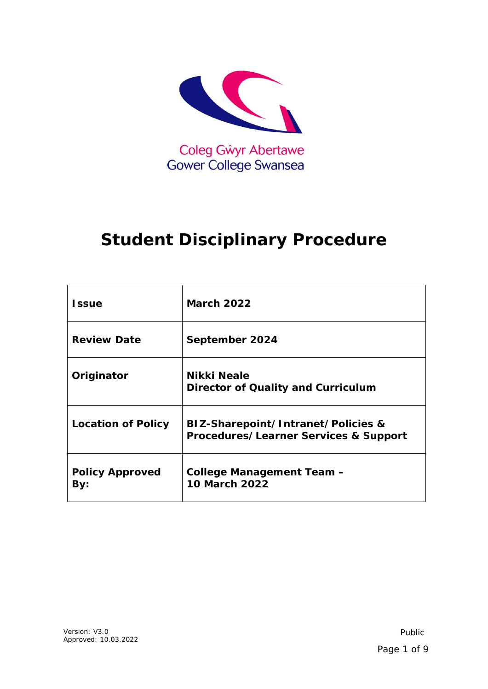

# **Student Disciplinary Procedure**

| <b>Issue</b>                  | <b>March 2022</b>                                                           |
|-------------------------------|-----------------------------------------------------------------------------|
| <b>Review Date</b>            | September 2024                                                              |
| Originator                    | Nikki Neale<br><b>Director of Quality and Curriculum</b>                    |
| <b>Location of Policy</b>     | BIZ-Sharepoint/Intranet/Policies &<br>Procedures/Learner Services & Support |
| <b>Policy Approved</b><br>By: | <b>College Management Team -</b><br><b>10 March 2022</b>                    |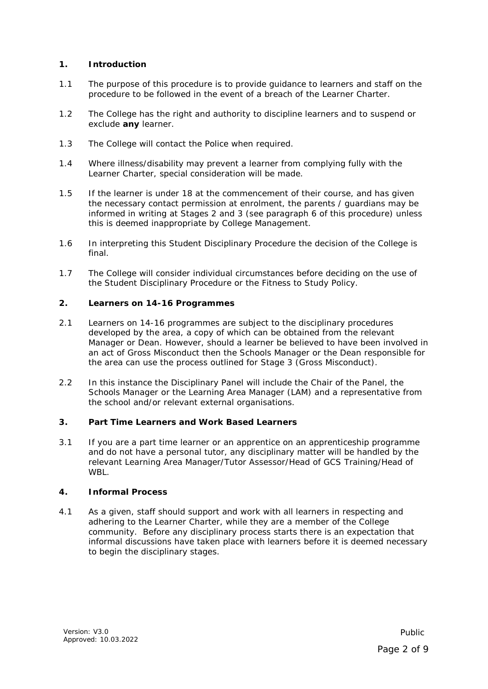## **1. Introduction**

- 1.1 The purpose of this procedure is to provide guidance to learners and staff on the procedure to be followed in the event of a breach of the Learner Charter.
- 1.2 The College has the right and authority to discipline learners and to suspend or exclude **any** learner.
- 1.3 The College will contact the Police when required.
- 1.4 Where illness/disability may prevent a learner from complying fully with the Learner Charter, special consideration will be made.
- 1.5 If the learner is under 18 at the commencement of their course, and has given the necessary contact permission at enrolment, the parents / guardians may be informed in writing at Stages 2 and 3 (see paragraph 6 of this procedure) unless this is deemed inappropriate by College Management.
- 1.6 In interpreting this Student Disciplinary Procedure the decision of the College is final.
- 1.7 The College will consider individual circumstances before deciding on the use of the Student Disciplinary Procedure or the Fitness to Study Policy.

#### **2. Learners on 14-16 Programmes**

- 2.1 Learners on 14-16 programmes are subject to the disciplinary procedures developed by the area, a copy of which can be obtained from the relevant Manager or Dean. However, should a learner be believed to have been involved in an act of Gross Misconduct then the Schools Manager or the Dean responsible for the area can use the process outlined for Stage 3 (Gross Misconduct).
- 2.2 In this instance the Disciplinary Panel will include the Chair of the Panel, the Schools Manager or the Learning Area Manager (LAM) and a representative from the school and/or relevant external organisations.

## **3. Part Time Learners and Work Based Learners**

3.1 If you are a part time learner or an apprentice on an apprenticeship programme and do not have a personal tutor, any disciplinary matter will be handled by the relevant Learning Area Manager/Tutor Assessor/Head of GCS Training/Head of **WRL.** 

#### **4. Informal Process**

4.1 As a given, staff should support and work with all learners in respecting and adhering to the Learner Charter, while they are a member of the College community. Before any disciplinary process starts there is an expectation that informal discussions have taken place with learners before it is deemed necessary to begin the disciplinary stages.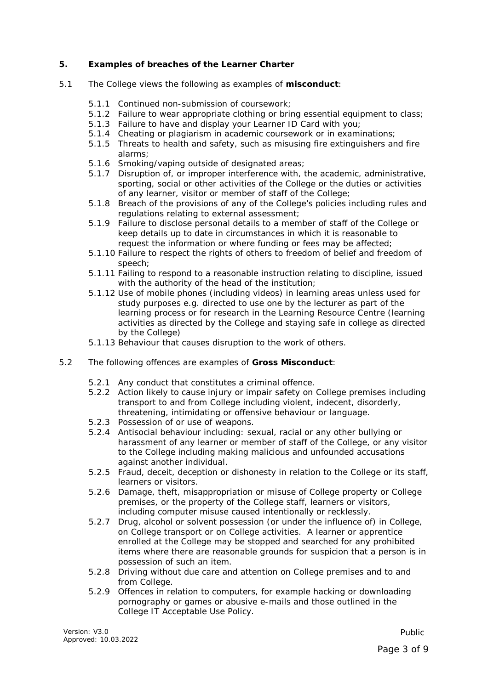## **5. Examples of breaches of the Learner Charter**

- 5.1 The College views the following as examples of **misconduct**:
	- 5.1.1 Continued non-submission of coursework;
	- 5.1.2 Failure to wear appropriate clothing or bring essential equipment to class;
	- 5.1.3 Failure to have and display your Learner ID Card with you;
	- 5.1.4 Cheating or plagiarism in academic coursework or in examinations;
	- 5.1.5 Threats to health and safety, such as misusing fire extinguishers and fire alarms;
	- 5.1.6 Smoking/vaping outside of designated areas;
	- 5.1.7 Disruption of, or improper interference with, the academic, administrative, sporting, social or other activities of the College or the duties or activities of any learner, visitor or member of staff of the College;
	- 5.1.8 Breach of the provisions of any of the College's policies including rules and regulations relating to external assessment;
	- 5.1.9 Failure to disclose personal details to a member of staff of the College or keep details up to date in circumstances in which it is reasonable to request the information or where funding or fees may be affected;
	- 5.1.10 Failure to respect the rights of others to freedom of belief and freedom of speech;
	- 5.1.11 Failing to respond to a reasonable instruction relating to discipline, issued with the authority of the head of the institution;
	- 5.1.12 Use of mobile phones (including videos) in learning areas unless used for study purposes e.g. directed to use one by the lecturer as part of the learning process or for research in the Learning Resource Centre (learning activities as directed by the College and staying safe in college as directed by the College)
	- 5.1.13 Behaviour that causes disruption to the work of others.
- 5.2 The following offences are examples of **Gross Misconduct**:
	- 5.2.1 Any conduct that constitutes a criminal offence.
	- 5.2.2 Action likely to cause injury or impair safety on College premises including transport to and from College including violent, indecent, disorderly, threatening, intimidating or offensive behaviour or language.
	- 5.2.3 Possession of or use of weapons.
	- 5.2.4 Antisocial behaviour including: sexual, racial or any other bullying or harassment of any learner or member of staff of the College, or any visitor to the College including making malicious and unfounded accusations against another individual.
	- 5.2.5 Fraud, deceit, deception or dishonesty in relation to the College or its staff, learners or visitors.
	- 5.2.6 Damage, theft, misappropriation or misuse of College property or College premises, or the property of the College staff, learners or visitors, including computer misuse caused intentionally or recklessly.
	- 5.2.7 Drug, alcohol or solvent possession (or under the influence of) in College, on College transport or on College activities. A learner or apprentice enrolled at the College may be stopped and searched for any prohibited items where there are reasonable grounds for suspicion that a person is in possession of such an item.
	- 5.2.8 Driving without due care and attention on College premises and to and from College.
	- 5.2.9 Offences in relation to computers, for example hacking or downloading pornography or games or abusive e-mails and those outlined in the College IT Acceptable Use Policy.

*Public*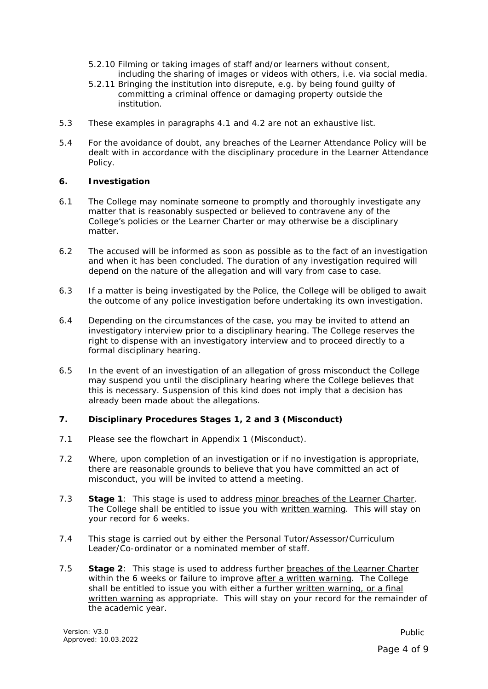- 5.2.10 Filming or taking images of staff and/or learners without consent, including the sharing of images or videos with others, i.e. via social media.
- 5.2.11 Bringing the institution into disrepute, e.g. by being found guilty of committing a criminal offence or damaging property outside the institution.
- 5.3 These examples in paragraphs 4.1 and 4.2 are not an exhaustive list.
- 5.4 For the avoidance of doubt, any breaches of the Learner Attendance Policy will be dealt with in accordance with the disciplinary procedure in the Learner Attendance Policy.

## **6. Investigation**

- 6.1 The College may nominate someone to promptly and thoroughly investigate any matter that is reasonably suspected or believed to contravene any of the College's policies or the Learner Charter or may otherwise be a disciplinary matter.
- 6.2 The accused will be informed as soon as possible as to the fact of an investigation and when it has been concluded. The duration of any investigation required will depend on the nature of the allegation and will vary from case to case.
- 6.3 If a matter is being investigated by the Police, the College will be obliged to await the outcome of any police investigation before undertaking its own investigation.
- 6.4 Depending on the circumstances of the case, you may be invited to attend an investigatory interview prior to a disciplinary hearing. The College reserves the right to dispense with an investigatory interview and to proceed directly to a formal disciplinary hearing.
- 6.5 In the event of an investigation of an allegation of gross misconduct the College may suspend you until the disciplinary hearing where the College believes that this is necessary. Suspension of this kind does not imply that a decision has already been made about the allegations.

# **7. Disciplinary Procedures Stages 1, 2 and 3 (Misconduct)**

- 7.1 Please see the flowchart in Appendix 1 (Misconduct).
- 7.2 Where, upon completion of an investigation or if no investigation is appropriate, there are reasonable grounds to believe that you have committed an act of misconduct, you will be invited to attend a meeting.
- 7.3 **Stage 1**: This stage is used to address minor breaches of the Learner Charter. The College shall be entitled to issue you with written warning. This will stay on your record for 6 weeks.
- 7.4 This stage is carried out by either the Personal Tutor/Assessor/Curriculum Leader/Co-ordinator or a nominated member of staff.
- 7.5 **Stage 2**: This stage is used to address further breaches of the Learner Charter within the 6 weeks or failure to improve after a written warning. The College shall be entitled to issue you with either a further written warning, or a final written warning as appropriate. This will stay on your record for the remainder of the academic year.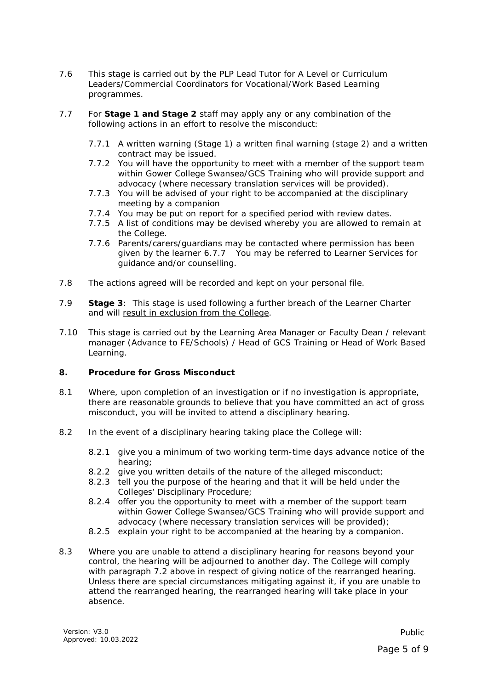- 7.6 This stage is carried out by the PLP Lead Tutor for A Level or Curriculum Leaders/Commercial Coordinators for Vocational/Work Based Learning programmes.
- 7.7 For **Stage 1 and Stage 2** staff may apply any or any combination of the following actions in an effort to resolve the misconduct:
	- 7.7.1 A written warning (Stage 1) a written final warning (stage 2) and a written contract may be issued.
	- 7.7.2 You will have the opportunity to meet with a member of the support team within Gower College Swansea/GCS Training who will provide support and advocacy (where necessary translation services will be provided).
	- 7.7.3 You will be advised of your right to be accompanied at the disciplinary meeting by a companion
	- 7.7.4 You may be put on report for a specified period with review dates.
	- 7.7.5 A list of conditions may be devised whereby you are allowed to remain at the College.
	- 7.7.6 Parents/carers/guardians may be contacted where permission has been given by the learner 6.7.7 You may be referred to Learner Services for guidance and/or counselling.
- 7.8 The actions agreed will be recorded and kept on your personal file.
- 7.9 **Stage 3**: This stage is used following a further breach of the Learner Charter and will result in exclusion from the College.
- 7.10 This stage is carried out by the Learning Area Manager or Faculty Dean / relevant manager (Advance to FE/Schools) / Head of GCS Training or Head of Work Based Learning.

# **8. Procedure for Gross Misconduct**

- 8.1 Where, upon completion of an investigation or if no investigation is appropriate, there are reasonable grounds to believe that you have committed an act of gross misconduct, you will be invited to attend a disciplinary hearing.
- 8.2 In the event of a disciplinary hearing taking place the College will:
	- 8.2.1 give you a minimum of two working term-time days advance notice of the hearing;
	- 8.2.2 give you written details of the nature of the alleged misconduct;
	- 8.2.3 tell you the purpose of the hearing and that it will be held under the Colleges' Disciplinary Procedure;
	- 8.2.4 offer you the opportunity to meet with a member of the support team within Gower College Swansea/GCS Training who will provide support and advocacy (where necessary translation services will be provided);
	- 8.2.5 explain your right to be accompanied at the hearing by a companion.
- 8.3 Where you are unable to attend a disciplinary hearing for reasons beyond your control, the hearing will be adjourned to another day. The College will comply with paragraph 7.2 above in respect of giving notice of the rearranged hearing. Unless there are special circumstances mitigating against it, if you are unable to attend the rearranged hearing, the rearranged hearing will take place in your absence.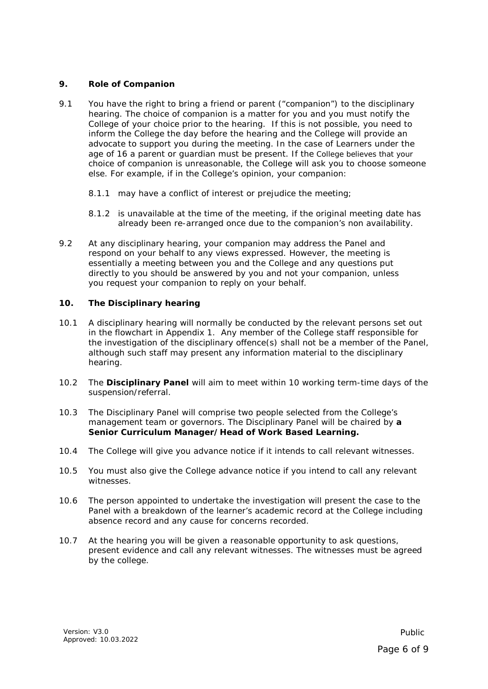## **9. Role of Companion**

- 9.1 You have the right to bring a friend or parent ("companion") to the disciplinary hearing. The choice of companion is a matter for you and you must notify the College of your choice prior to the hearing. If this is not possible, you need to inform the College the day before the hearing and the College will provide an advocate to support you during the meeting. In the case of Learners under the age of 16 a parent or guardian must be present. If the College believes that your choice of companion is unreasonable, the College will ask you to choose someone else. For example, if in the College's opinion, your companion:
	- 8.1.1 may have a conflict of interest or prejudice the meeting:
	- 8.1.2 is unavailable at the time of the meeting, if the original meeting date has already been re-arranged once due to the companion's non availability.
- 9.2 At any disciplinary hearing, your companion may address the Panel and respond on your behalf to any views expressed. However, the meeting is essentially a meeting between you and the College and any questions put directly to you should be answered by you and not your companion, unless you request your companion to reply on your behalf.

## **10. The Disciplinary hearing**

- 10.1 A disciplinary hearing will normally be conducted by the relevant persons set out in the flowchart in Appendix 1. Any member of the College staff responsible for the investigation of the disciplinary offence(s) shall not be a member of the Panel, although such staff may present any information material to the disciplinary hearing.
- 10.2 The **Disciplinary Panel** will aim to meet within 10 working term-time days of the suspension/referral.
- 10.3 The Disciplinary Panel will comprise two people selected from the College's management team or governors. The Disciplinary Panel will be chaired by **a Senior Curriculum Manager/Head of Work Based Learning.**
- 10.4 The College will give you advance notice if it intends to call relevant witnesses.
- 10.5 You must also give the College advance notice if you intend to call any relevant witnesses.
- 10.6 The person appointed to undertake the investigation will present the case to the Panel with a breakdown of the learner's academic record at the College including absence record and any cause for concerns recorded.
- 10.7 At the hearing you will be given a reasonable opportunity to ask questions, present evidence and call any relevant witnesses. The witnesses must be agreed by the college.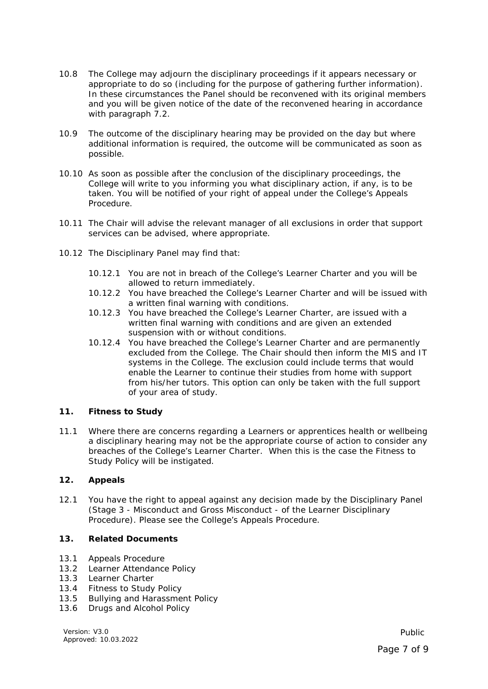- 10.8 The College may adjourn the disciplinary proceedings if it appears necessary or appropriate to do so (including for the purpose of gathering further information). In these circumstances the Panel should be reconvened with its original members and you will be given notice of the date of the reconvened hearing in accordance with paragraph  $7.2$ .
- 10.9 The outcome of the disciplinary hearing may be provided on the day but where additional information is required, the outcome will be communicated as soon as possible.
- 10.10 As soon as possible after the conclusion of the disciplinary proceedings, the College will write to you informing you what disciplinary action, if any, is to be taken. You will be notified of your right of appeal under the College's Appeals Procedure.
- 10.11 The Chair will advise the relevant manager of all exclusions in order that support services can be advised, where appropriate.
- 10.12 The Disciplinary Panel may find that:
	- 10.12.1 You are not in breach of the College's Learner Charter and you will be allowed to return immediately.
	- 10.12.2 You have breached the College's Learner Charter and will be issued with a written final warning with conditions.
	- 10.12.3 You have breached the College's Learner Charter, are issued with a written final warning with conditions and are given an extended suspension with or without conditions.
	- 10.12.4 You have breached the College's Learner Charter and are permanently excluded from the College. The Chair should then inform the MIS and IT systems in the College. The exclusion could include terms that would enable the Learner to continue their studies from home with support from his/her tutors. This option can only be taken with the full support of your area of study.

#### **11. Fitness to Study**

11.1 Where there are concerns regarding a Learners or apprentices health or wellbeing a disciplinary hearing may not be the appropriate course of action to consider any breaches of the College's Learner Charter. When this is the case the Fitness to Study Policy will be instigated.

# **12. Appeals**

12.1 You have the right to appeal against any decision made by the Disciplinary Panel (Stage 3 - Misconduct and Gross Misconduct - of the Learner Disciplinary Procedure). Please see the College's Appeals Procedure.

# **13. Related Documents**

- 13.1 Appeals Procedure
- 13.2 Learner Attendance Policy
- 13.3 Learner Charter
- 13.4 Fitness to Study Policy
- 13.5 Bullying and Harassment Policy
- 13.6 Drugs and Alcohol Policy

Version: V3.0 Approved: 10.03.2022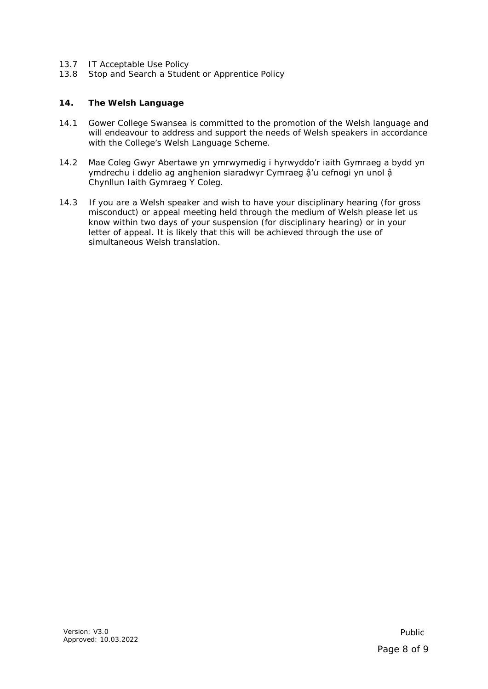- 13.7 IT Acceptable Use Policy
- 13.8 Stop and Search a Student or Apprentice Policy

## **14. The Welsh Language**

- 14.1 Gower College Swansea is committed to the promotion of the Welsh language and will endeavour to address and support the needs of Welsh speakers in accordance with the College's Welsh Language Scheme.
- 14.2 Mae Coleg Gwyr Abertawe yn ymrwymedig i hyrwyddo'r iaith Gymraeg a bydd yn ymdrechu i ddelio ag anghenion siaradwyr Cymraeg ậ'u cefnogi yn unol ậ Chynllun Iaith Gymraeg Y Coleg.
- 14.3 If you are a Welsh speaker and wish to have your disciplinary hearing (for gross misconduct) or appeal meeting held through the medium of Welsh please let us know within two days of your suspension (for disciplinary hearing) or in your letter of appeal. It is likely that this will be achieved through the use of simultaneous Welsh translation.